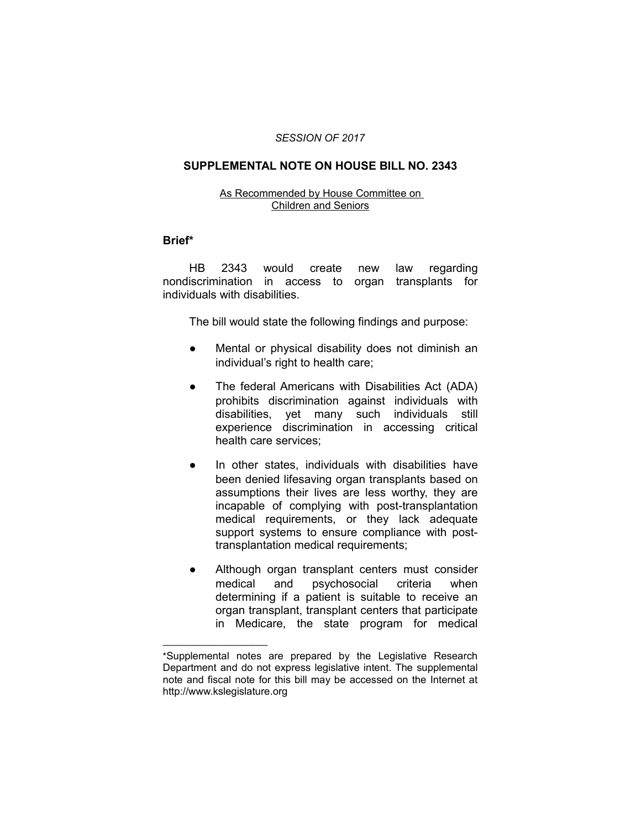#### *SESSION OF 2017*

## **SUPPLEMENTAL NOTE ON HOUSE BILL NO. 2343**

#### As Recommended by House Committee on Children and Seniors

### **Brief\***

HB 2343 would create new law regarding nondiscrimination in access to organ transplants for individuals with disabilities.

The bill would state the following findings and purpose:

- Mental or physical disability does not diminish an individual's right to health care;
- The federal Americans with Disabilities Act (ADA) prohibits discrimination against individuals with disabilities, yet many such individuals still experience discrimination in accessing critical health care services;
- In other states, individuals with disabilities have been denied lifesaving organ transplants based on assumptions their lives are less worthy, they are incapable of complying with post-transplantation medical requirements, or they lack adequate support systems to ensure compliance with posttransplantation medical requirements;
- Although organ transplant centers must consider medical and psychosocial criteria when determining if a patient is suitable to receive an organ transplant, transplant centers that participate in Medicare, the state program for medical

 $\overline{\phantom{a}}$  , where  $\overline{\phantom{a}}$  , where  $\overline{\phantom{a}}$ 

<sup>\*</sup>Supplemental notes are prepared by the Legislative Research Department and do not express legislative intent. The supplemental note and fiscal note for this bill may be accessed on the Internet at http://www.kslegislature.org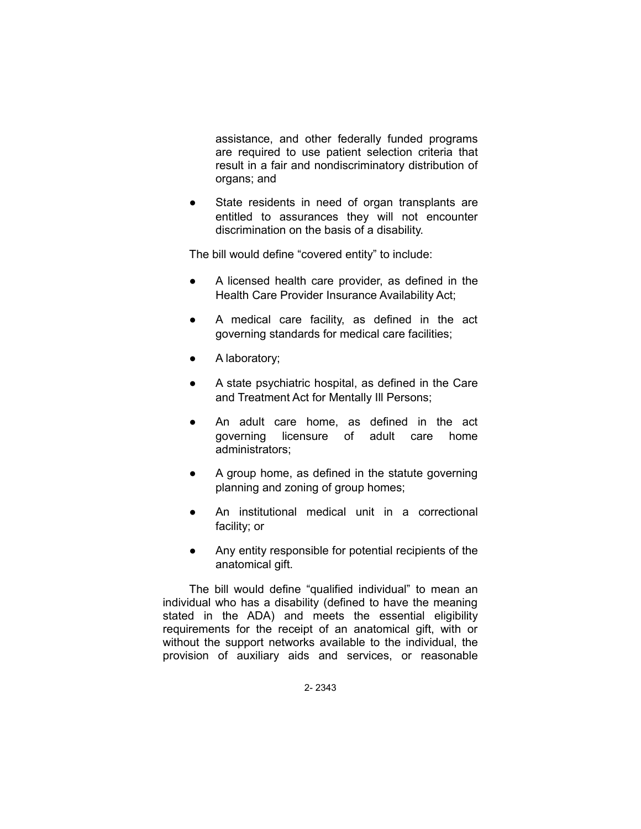assistance, and other federally funded programs are required to use patient selection criteria that result in a fair and nondiscriminatory distribution of organs; and

• State residents in need of organ transplants are entitled to assurances they will not encounter discrimination on the basis of a disability.

The bill would define "covered entity" to include:

- A licensed health care provider, as defined in the Health Care Provider Insurance Availability Act;
- A medical care facility, as defined in the act governing standards for medical care facilities;
- A laboratory;
- A state psychiatric hospital, as defined in the Care and Treatment Act for Mentally Ill Persons;
- An adult care home, as defined in the act governing licensure of adult care home administrators;
- A group home, as defined in the statute governing planning and zoning of group homes;
- An institutional medical unit in a correctional facility; or
- Any entity responsible for potential recipients of the anatomical gift.

The bill would define "qualified individual" to mean an individual who has a disability (defined to have the meaning stated in the ADA) and meets the essential eligibility requirements for the receipt of an anatomical gift, with or without the support networks available to the individual, the provision of auxiliary aids and services, or reasonable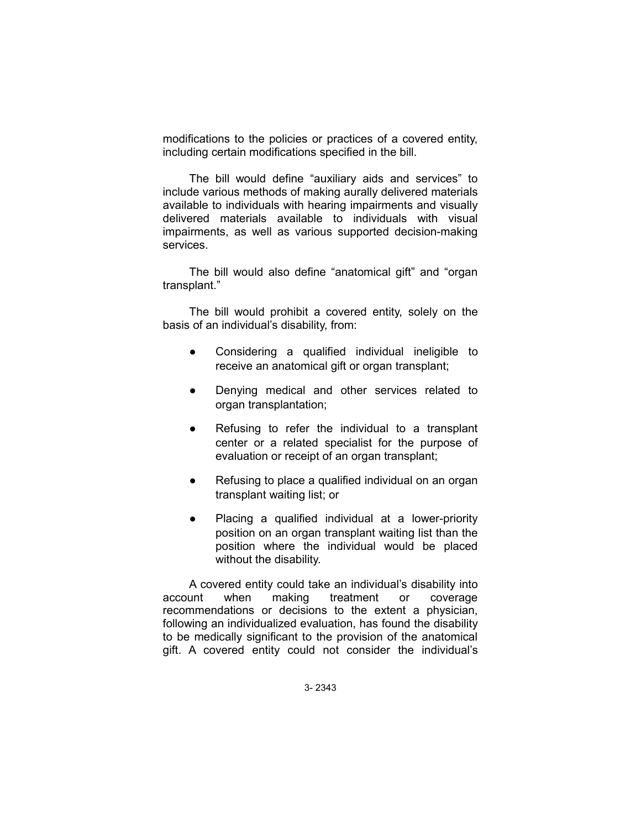modifications to the policies or practices of a covered entity, including certain modifications specified in the bill.

The bill would define "auxiliary aids and services" to include various methods of making aurally delivered materials available to individuals with hearing impairments and visually delivered materials available to individuals with visual impairments, as well as various supported decision-making services.

The bill would also define "anatomical gift" and "organ transplant."

The bill would prohibit a covered entity, solely on the basis of an individual's disability, from:

- Considering a qualified individual ineligible to receive an anatomical gift or organ transplant;
- Denying medical and other services related to organ transplantation;
- Refusing to refer the individual to a transplant center or a related specialist for the purpose of evaluation or receipt of an organ transplant;
- Refusing to place a qualified individual on an organ transplant waiting list; or
- Placing a qualified individual at a lower-priority position on an organ transplant waiting list than the position where the individual would be placed without the disability.

A covered entity could take an individual's disability into account when making treatment or coverage recommendations or decisions to the extent a physician, following an individualized evaluation, has found the disability to be medically significant to the provision of the anatomical gift. A covered entity could not consider the individual's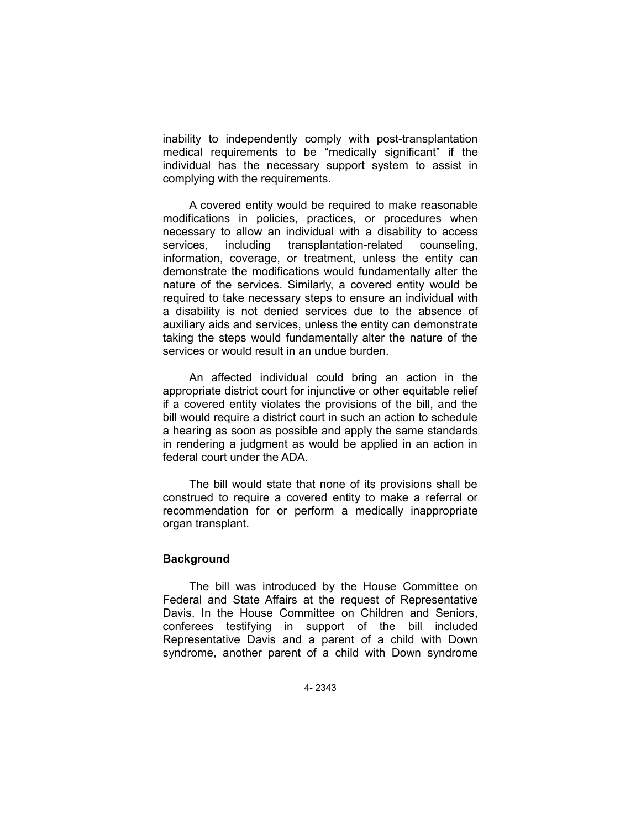inability to independently comply with post-transplantation medical requirements to be "medically significant" if the individual has the necessary support system to assist in complying with the requirements.

A covered entity would be required to make reasonable modifications in policies, practices, or procedures when necessary to allow an individual with a disability to access services, including transplantation-related counseling, information, coverage, or treatment, unless the entity can demonstrate the modifications would fundamentally alter the nature of the services. Similarly, a covered entity would be required to take necessary steps to ensure an individual with a disability is not denied services due to the absence of auxiliary aids and services, unless the entity can demonstrate taking the steps would fundamentally alter the nature of the services or would result in an undue burden.

An affected individual could bring an action in the appropriate district court for injunctive or other equitable relief if a covered entity violates the provisions of the bill, and the bill would require a district court in such an action to schedule a hearing as soon as possible and apply the same standards in rendering a judgment as would be applied in an action in federal court under the ADA.

The bill would state that none of its provisions shall be construed to require a covered entity to make a referral or recommendation for or perform a medically inappropriate organ transplant.

# **Background**

The bill was introduced by the House Committee on Federal and State Affairs at the request of Representative Davis. In the House Committee on Children and Seniors, conferees testifying in support of the bill included Representative Davis and a parent of a child with Down syndrome, another parent of a child with Down syndrome